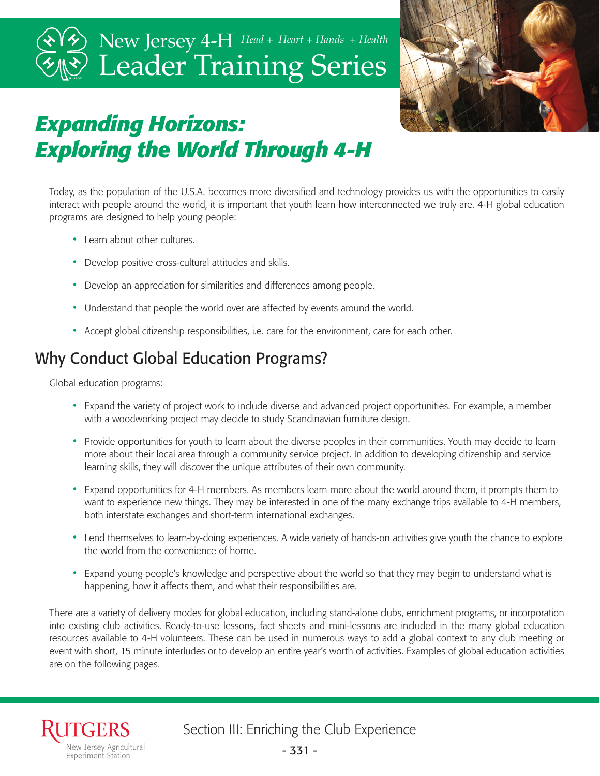# Leader Training Series New Jersey 4-H *Head + Heart + Hands + Health*



## *Expanding Horizons: Exploring the World Through 4-H*

Today, as the population of the U.S.A. becomes more diversified and technology provides us with the opportunities to easily interact with people around the world, it is important that youth learn how interconnected we truly are. 4-H global education programs are designed to help young people:

- Learn about other cultures.
- Develop positive cross-cultural attitudes and skills.
- Develop an appreciation for similarities and differences among people.
- Understand that people the world over are affected by events around the world.
- Accept global citizenship responsibilities, i.e. care for the environment, care for each other.

## Why Conduct Global Education Programs?

Global education programs:

- Expand the variety of project work to include diverse and advanced project opportunities. For example, a member with a woodworking project may decide to study Scandinavian furniture design.
- Provide opportunities for youth to learn about the diverse peoples in their communities. Youth may decide to learn more about their local area through a community service project. In addition to developing citizenship and service learning skills, they will discover the unique attributes of their own community.
- Expand opportunities for 4-H members. As members learn more about the world around them, it prompts them to want to experience new things. They may be interested in one of the many exchange trips available to 4-H members, both interstate exchanges and short-term international exchanges.
- Lend themselves to learn-by-doing experiences. A wide variety of hands-on activities give youth the chance to explore the world from the convenience of home.
- Expand young people's knowledge and perspective about the world so that they may begin to understand what is happening, how it affects them, and what their responsibilities are.

There are a variety of delivery modes for global education, including stand-alone clubs, enrichment programs, or incorporation into existing club activities. Ready-to-use lessons, fact sheets and mini-lessons are included in the many global education resources available to 4-H volunteers. These can be used in numerous ways to add a global context to any club meeting or event with short, 15 minute interludes or to develop an entire year's worth of activities. Examples of global education activities are on the following pages.

Section III: Enriching the Club Experience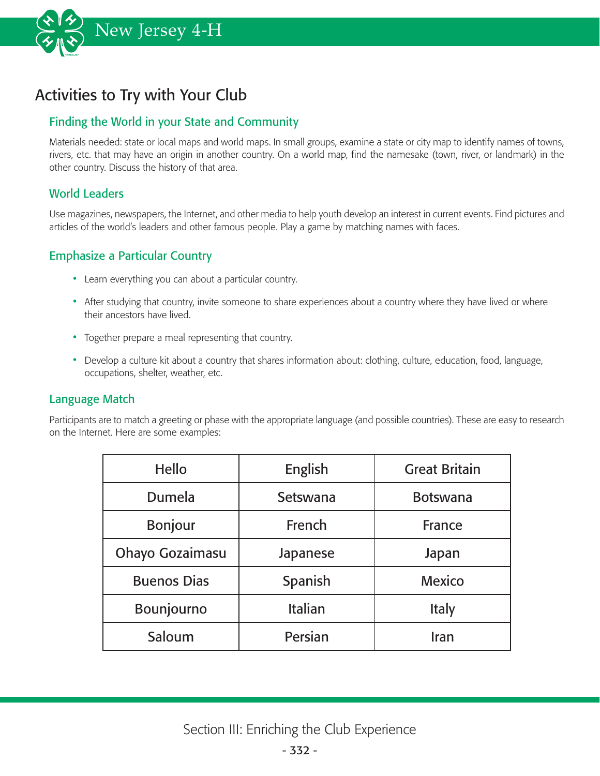

## Activities to Try with Your Club

### Finding the World in your State and Community

Materials needed: state or local maps and world maps. In small groups, examine a state or city map to identify names of towns, rivers, etc. that may have an origin in another country. On a world map, find the namesake (town, river, or landmark) in the other country. Discuss the history of that area.

#### World Leaders

Use magazines, newspapers, the Internet, and other media to help youth develop an interest in current events. Find pictures and articles of the world's leaders and other famous people. Play a game by matching names with faces.

#### Emphasize a Particular Country

- Learn everything you can about a particular country.
- After studying that country, invite someone to share experiences about a country where they have lived or where their ancestors have lived.
- Together prepare a meal representing that country.
- Develop a culture kit about a country that shares information about: clothing, culture, education, food, language, occupations, shelter, weather, etc.

#### Language Match

Participants are to match a greeting or phase with the appropriate language (and possible countries). These are easy to research on the Internet. Here are some examples:

| Hello              | English        | <b>Great Britain</b> |
|--------------------|----------------|----------------------|
| Dumela             | Setswana       | <b>Botswana</b>      |
| <b>Bonjour</b>     | French         | France               |
| Ohayo Gozaimasu    | Japanese       | Japan                |
| <b>Buenos Dias</b> | Spanish        | <b>Mexico</b>        |
| Bounjourno         | <b>Italian</b> | Italy                |
| Saloum             | Persian        | Iran                 |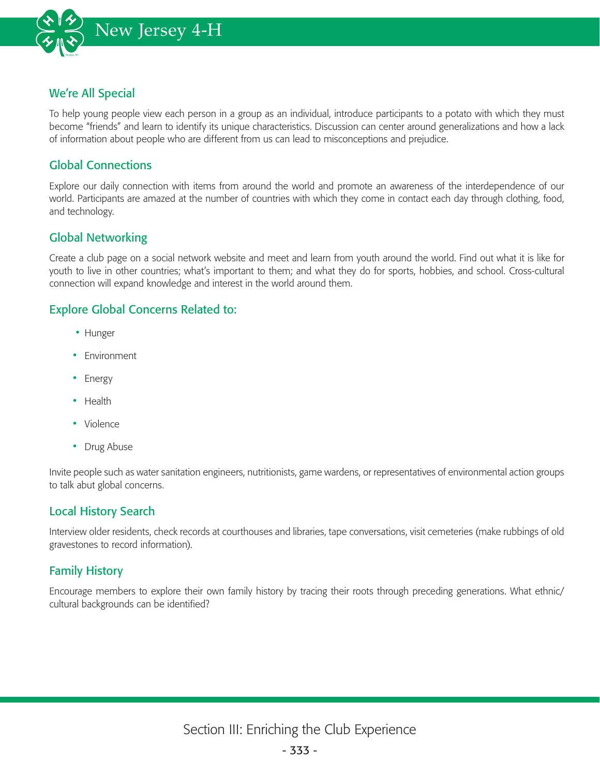

#### We're All Special

To help young people view each person in a group as an individual, introduce participants to a potato with which they must become "friends" and learn to identify its unique characteristics. Discussion can center around generalizations and how a lack of information about people who are different from us can lead to misconceptions and prejudice.

#### Global Connections

Explore our daily connection with items from around the world and promote an awareness of the interdependence of our world. Participants are amazed at the number of countries with which they come in contact each day through clothing, food, and technology.

#### Global Networking

Create a club page on a social network website and meet and learn from youth around the world. Find out what it is like for youth to live in other countries; what's important to them; and what they do for sports, hobbies, and school. Cross-cultural connection will expand knowledge and interest in the world around them.

#### Explore Global Concerns Related to:

- Hunger
- Environment
- Energy
- Health
- Violence
- Drug Abuse

Invite people such as water sanitation engineers, nutritionists, game wardens, or representatives of environmental action groups to talk abut global concerns.

#### Local History Search

Interview older residents, check records at courthouses and libraries, tape conversations, visit cemeteries (make rubbings of old gravestones to record information).

### Family History

Encourage members to explore their own family history by tracing their roots through preceding generations. What ethnic/ cultural backgrounds can be identified?